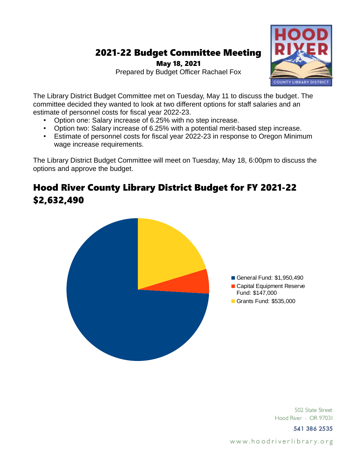# 2021-22 Budget Committee Meeting

May 18, 2021 Prepared by Budget Officer Rachael Fox



- Option one: Salary increase of 6.25% with no step increase.
- Option two: Salary increase of 6.25% with a potential merit-based step increase.
- Estimate of personnel costs for fiscal year 2022-23 in response to Oregon Minimum wage increase requirements.

The Library District Budget Committee will meet on Tuesday, May 18, 6:00pm to discuss the options and approve the budget.

## Hood River County Library District Budget for FY 2021-22 \$2,632,490



502 State Street Hood River - OR 97031

541 386 2535

www.hoodriverlibrary.org

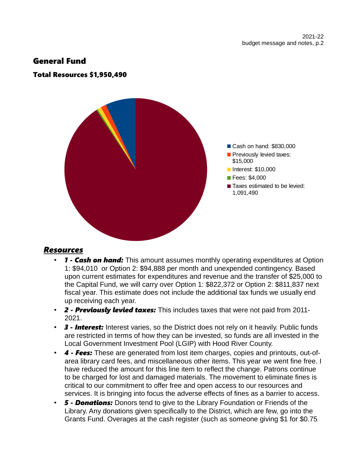#### General Fund

#### Total Resources \$1,950,490



#### *Resources*

- *1 Cash on hand:* This amount assumes monthly operating expenditures at Option 1: \$94,010 or Option 2: \$94,888 per month and unexpended contingency. Based upon current estimates for expenditures and revenue and the transfer of \$25,000 to the Capital Fund, we will carry over Option 1: \$822,372 or Option 2: \$811,837 next fiscal year. This estimate does not include the additional tax funds we usually end up receiving each year.
- *2 Previously levied taxes:* This includes taxes that were not paid from 2011- 2021.
- *3 Interest:* Interest varies, so the District does not rely on it heavily. Public funds are restricted in terms of how they can be invested, so funds are all invested in the Local Government Investment Pool (LGIP) with Hood River County.
- *4 Fees:* These are generated from lost item charges, copies and printouts, out-ofarea library card fees, and miscellaneous other items. This year we went fine free. I have reduced the amount for this line item to reflect the change. Patrons continue to be charged for lost and damaged materials. The movement to eliminate fines is critical to our commitment to offer free and open access to our resources and services. It is bringing into focus the adverse effects of fines as a barrier to access.
- *5 Donations:* Donors tend to give to the Library Foundation or Friends of the Library. Any donations given specifically to the District, which are few, go into the Grants Fund. Overages at the cash register (such as someone giving \$1 for \$0.75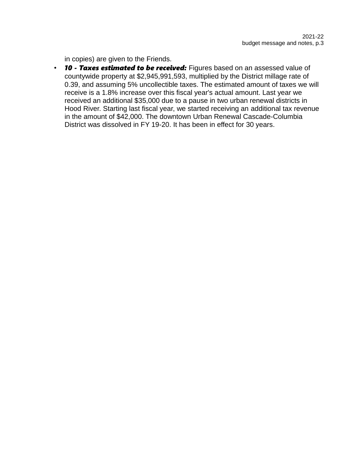in copies) are given to the Friends.

• *10 - Taxes estimated to be received:* Figures based on an assessed value of countywide property at \$2,945,991,593, multiplied by the District millage rate of 0.39, and assuming 5% uncollectible taxes. The estimated amount of taxes we will receive is a 1.8% increase over this fiscal year's actual amount. Last year we received an additional \$35,000 due to a pause in two urban renewal districts in Hood River. Starting last fiscal year, we started receiving an additional tax revenue in the amount of \$42,000. The downtown Urban Renewal Cascade-Columbia District was dissolved in FY 19-20. It has been in effect for 30 years.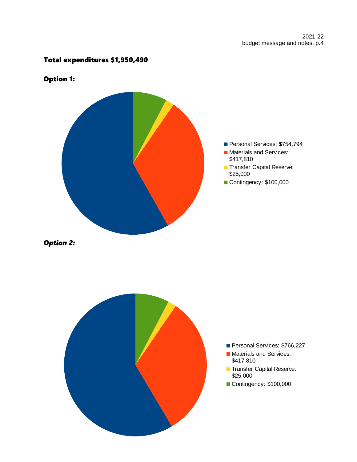#### Total expenditures \$1,950,490



### Option 1:



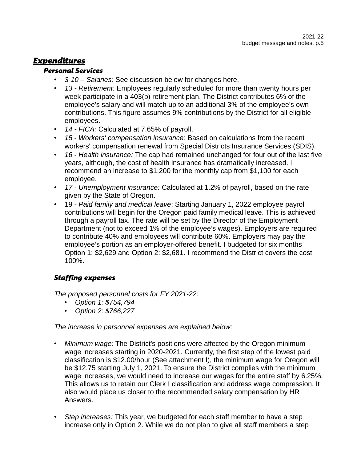### *Expenditures*

#### *Personal Services*

- *3-10 Salaries:* See discussion below for changes here.
- *13 Retirement:* Employees regularly scheduled for more than twenty hours per week participate in a 403(b) retirement plan. The District contributes 6% of the employee's salary and will match up to an additional 3% of the employee's own contributions. This figure assumes 9% contributions by the District for all eligible employees.
- *14 FICA:* Calculated at 7.65% of payroll.
- *15 Workers' compensation insurance:* Based on calculations from the recent workers' compensation renewal from Special Districts Insurance Services (SDIS).
- *16 Health insurance:* The cap had remained unchanged for four out of the last five years, although, the cost of health insurance has dramatically increased. I recommend an increase to \$1,200 for the monthly cap from \$1,100 for each employee.
- *17 Unemployment insurance:* Calculated at 1.2% of payroll, based on the rate given by the State of Oregon.
- 19  *Paid family and medical leave*: Starting January 1, 2022 employee payroll contributions will begin for the Oregon paid family medical leave. This is achieved through a payroll tax. The rate will be set by the Director of the Employment Department (not to exceed 1% of the employee's wages). Employers are required to contribute 40% and employees will contribute 60%. Employers may pay the employee's portion as an employer-offered benefit. I budgeted for six months Option 1: \$2,629 and Option 2: \$2,681. I recommend the District covers the cost 100%.

#### *Staffing expenses*

*The proposed personnel costs for FY 2021-22:*

- *Option 1: \$754,794*
- *Option 2: \$766,227*

*The increase in personnel expenses are explained below:*

- *Minimum wage:* The District's positions were affected by the Oregon minimum wage increases starting in 2020-2021. Currently, the first step of the lowest paid classification is \$12.00/hour (See attachment I), the minimum wage for Oregon will be \$12.75 starting July 1, 2021. To ensure the District complies with the minimum wage increases, we would need to increase our wages for the entire staff by 6.25%. This allows us to retain our Clerk I classification and address wage compression. It also would place us closer to the recommended salary compensation by HR Answers.
- *Step increases:* This year, we budgeted for each staff member to have a step increase only in Option 2. While we do not plan to give all staff members a step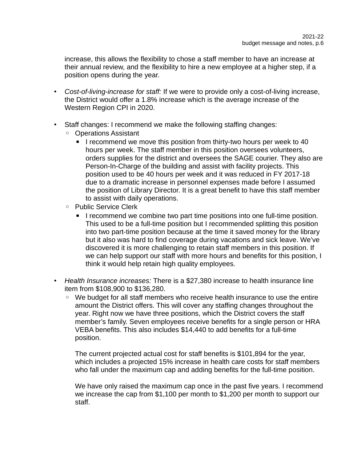increase, this allows the flexibility to chose a staff member to have an increase at their annual review, and the flexibility to hire a new employee at a higher step, if a position opens during the year.

- *Cost-of-living-increase for staff:* If we were to provide only a cost-of-living increase, the District would offer a 1.8% increase which is the average increase of the Western Region CPI in 2020.
- Staff changes: I recommend we make the following staffing changes:
	- Operations Assistant
		- **EXECOMMEDE 1** I recommend we move this position from thirty-two hours per week to 40 hours per week. The staff member in this position oversees volunteers, orders supplies for the district and oversees the SAGE courier. They also are Person-In-Charge of the building and assist with facility projects. This position used to be 40 hours per week and it was reduced in FY 2017-18 due to a dramatic increase in personnel expenses made before I assumed the position of Library Director. It is a great benefit to have this staff member to assist with daily operations.
	- Public Service Clerk
		- **EXT** I recommend we combine two part time positions into one full-time position. This used to be a full-time position but I recommended splitting this position into two part-time position because at the time it saved money for the library but it also was hard to find coverage during vacations and sick leave. We've discovered it is more challenging to retain staff members in this position. If we can help support our staff with more hours and benefits for this position, I think it would help retain high quality employees.
- *Health Insurance increases:* There is a \$27,380 increase to health insurance line item from \$108,900 to \$136,280.
	- We budget for all staff members who receive health insurance to use the entire amount the District offers. This will cover any staffing changes throughout the year. Right now we have three positions, which the District covers the staff member's family. Seven employees receive benefits for a single person or HRA VEBA benefits. This also includes \$14,440 to add benefits for a full-time position.

The current projected actual cost for staff benefits is \$101,894 for the year, which includes a projected 15% increase in health care costs for staff members who fall under the maximum cap and adding benefits for the full-time position.

We have only raised the maximum cap once in the past five years. I recommend we increase the cap from \$1,100 per month to \$1,200 per month to support our staff.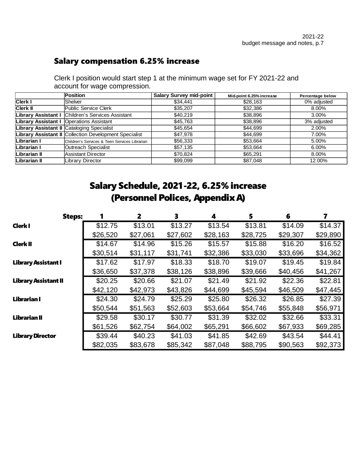### Salary compensation 6.25% increase

Clerk I position would start step 1 at the minimum wage set for FY 2021-22 and account for wage compression.

|                     | <b>Position</b>                                        | <b>Salary Survey mid-point</b> | Mid-point 6.25% increase | <b>Percentage below</b> |
|---------------------|--------------------------------------------------------|--------------------------------|--------------------------|-------------------------|
| <b>Clerk I</b>      | <b>Shelver</b>                                         | \$34,441                       | \$28,163                 | 0% adjusted             |
| <b>Clerk II</b>     | Public Service Clerk                                   | \$35,207                       | \$32,386                 | 8.00%                   |
|                     | Library Assistant I Children's Services Assistant      | \$40,219                       | \$38,896                 | 3.00%                   |
|                     | Library Assistant I Operations Assistant               | \$45,763                       | \$38,896                 | 3% adjusted             |
|                     | Library Assistant II Cataloging Specialist             | \$45.654                       | \$44,699                 | 2.00%                   |
|                     | Library Assistant II Collection Development Specialist | \$47,978                       | \$44,699                 | 7.00%                   |
| Librarian I         | Children's Services & Teen Services Librarian          | \$56,333                       | \$53.664                 | 5.00%                   |
| Librarian I         | Outreach Specialist                                    | \$57,135                       | \$53,664                 | 6.00%                   |
| Librarian II        | Assistant Director                                     | \$70,824                       | \$65,291                 | 8.00%                   |
| <b>Librarian II</b> | Library Director                                       | \$99,099                       | \$87.048                 | 12.00%                  |

## Salary Schedule, 2021-22, 6.25% increase (Personnel Polices, Appendix A)

| <b>Steps:</b>               |          | 2        | 3        | 4        | 5        | 6        | 7        |
|-----------------------------|----------|----------|----------|----------|----------|----------|----------|
| <b>Clerk I</b>              | \$12.75  | \$13.01  | \$13.27  | \$13.54  | \$13.81  | \$14.09  | \$14.37  |
|                             | \$26,520 | \$27,061 | \$27,602 | \$28,163 | \$28,725 | \$29,307 | \$29,890 |
| <b>Clerk II</b>             | \$14.67  | \$14.96  | \$15.26  | \$15.57  | \$15.88  | \$16.20  | \$16.52  |
|                             | \$30,514 | \$31,117 | \$31,741 | \$32,386 | \$33,030 | \$33,696 | \$34,362 |
| <b>Library Assistant I</b>  | \$17.62  | \$17.97  | \$18.33  | \$18.70  | \$19.07  | \$19.45  | \$19.84  |
|                             | \$36,650 | \$37,378 | \$38,126 | \$38,896 | \$39,666 | \$40,456 | \$41,267 |
| <b>Library Assistant II</b> | \$20.25  | \$20.66  | \$21.07  | \$21.49  | \$21.92  | \$22.36  | \$22.81  |
|                             | \$42,120 | \$42,973 | \$43,826 | \$44,699 | \$45,594 | \$46,509 | \$47,445 |
| Librarian I                 | \$24.30  | \$24.79  | \$25.29  | \$25.80  | \$26.32  | \$26.85  | \$27.39  |
|                             | \$50,544 | \$51,563 | \$52,603 | \$53,664 | \$54,746 | \$55,848 | \$56,971 |
| <b>Librarian II</b>         | \$29.58  | \$30.17  | \$30.77  | \$31.39  | \$32.02  | \$32.66  | \$33.31  |
|                             | \$61,526 | \$62,754 | \$64,002 | \$65,291 | \$66,602 | \$67,933 | \$69,285 |
| <b>Library Director</b>     | \$39.44  | \$40.23  | \$41.03  | \$41.85  | \$42.69  | \$43.54  | \$44.41  |
|                             | \$82,035 | \$83,678 | \$85,342 | \$87,048 | \$88,795 | \$90,563 | \$92,373 |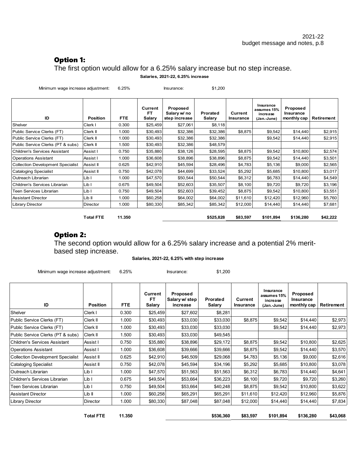#### Option 1:

The first option would allow for a 6.25% salary increase but no step increase. **Salaries, 2021-22, 6.25% increase**

| Minimum wage increase adjustment:        |                  | 6.25%      |                                | Insurance:                                | \$1,200            |                      |                                                     |                                      |                   |
|------------------------------------------|------------------|------------|--------------------------------|-------------------------------------------|--------------------|----------------------|-----------------------------------------------------|--------------------------------------|-------------------|
| ID                                       | <b>Position</b>  | <b>FTE</b> | Current<br><b>FT</b><br>Salary | Proposed<br>Salary w/ no<br>step increase | Prorated<br>Salary | Current<br>Insurance | Insurance<br>assumes 15%<br>increase<br>(Jan.-June) | Proposed<br>Insurance<br>monthly cap | <b>Retirement</b> |
| Shelver                                  | Clerk I          | 0.300      | \$25,459                       | \$27,061                                  | \$8,118            |                      |                                                     |                                      |                   |
| Public Service Clerks (FT)               | Clerk II         | 1.000      | \$30,493                       | \$32,386                                  | \$32,386           | \$8,875              | \$9,542                                             | \$14,440                             | \$2,915           |
| Public Service Clerks (FT)               | Clerk II         | 1.000      | \$30,493                       | \$32,386                                  | \$32,386           |                      | \$9,542                                             | \$14,440                             | \$2,915           |
| Public Service Clerks (PT & subs)        | Clerk II         | 1.500      | \$30,493                       | \$32,386                                  | \$48,579           |                      |                                                     |                                      |                   |
| <b>Children's Services Assistant</b>     | Assist I         | 0.750      | \$35,880                       | \$38,126                                  | \$28,595           | \$8,875              | \$9,542                                             | \$10,800                             | \$2,574           |
| <b>Operations Assistant</b>              | Assist I         | 1.000      | \$36,608                       | \$38,896                                  | \$38,896           | \$8,875              | \$9,542                                             | \$14,440                             | \$3,501           |
| <b>Collection Development Specialist</b> | Assist II        | 0.625      | \$42,910                       | \$45,594                                  | \$28,496           | \$4,783              | \$5,136                                             | \$9,000                              | \$2,565           |
| <b>Cataloging Specialist</b>             | Assist II        | 0.750      | \$42,078                       | \$44,699                                  | \$33,524           | \$5,292              | \$5,685                                             | \$10,800                             | \$3,017           |
| Outreach Librarian                       | Lib I            | 1.000      | \$47,570                       | \$50,544                                  | \$50,544           | \$6,312              | \$6,783                                             | \$14,440                             | \$4,549           |
| Children's Services Librarian            | Lib I            | 0.675      | \$49,504                       | \$52,603                                  | \$35,507           | \$8,100              | \$9,720                                             | \$9,720                              | \$3,196           |
| Teen Services Librarian                  | Lib I            | 0.750      | \$49,504                       | \$52,603                                  | \$39,452           | \$8,875              | \$9,542                                             | \$10,800                             | \$3,551           |
| <b>Assistant Director</b>                | Lib II           | 1.000      | \$60,258                       | \$64,002                                  | \$64,002           | \$11,610             | \$12,420                                            | \$12,960                             | \$5,760           |
| <b>Library Director</b>                  | <b>Director</b>  | 1.000      | \$80,330                       | \$85,342                                  | \$85,342           | \$12,000             | \$14,440                                            | \$14,440                             | \$7,681           |
|                                          | <b>Total FTE</b> | 11.350     |                                |                                           | \$525,828          | \$83,597             | \$101,894                                           | \$136,280                            | \$42,222          |

#### Option 2:

The second option would allow for a 6.25% salary increase and a potential 2% meritbased step increase.

#### **Salaries, 2021-22, 6.25% with step increase**

Minimum wage increase adjustment: 6.25% Insurance: \$1,200

| ID                                       | <b>Position</b> | <b>FTE</b> | Current<br>FT<br><b>Salary</b> | Proposed<br>Salary w/ step<br>increase | Prorated<br>Salary | Current<br>Insurance | Insurance<br>assumes 15%<br>increase<br>(Jan.-June) | Proposed<br>Insurance<br>monthly cap | Retirement |
|------------------------------------------|-----------------|------------|--------------------------------|----------------------------------------|--------------------|----------------------|-----------------------------------------------------|--------------------------------------|------------|
| Shelver                                  | Clerk I         | 0.300      | \$25,459                       | \$27,602                               | \$8,281            |                      |                                                     |                                      |            |
| Public Service Clerks (FT)               | Clerk II        | 1.000      | \$30,493                       | \$33,030                               | \$33,030           | \$8,875              | \$9,542                                             | \$14,440                             | \$2,973    |
| Public Service Clerks (FT)               | Clerk II        | 1.000      | \$30,493                       | \$33,030                               | \$33,030           |                      | \$9,542                                             | \$14,440                             | \$2,973    |
| Public Service Clerks (PT & subs)        | Clerk II        | 1.500      | \$30,493                       | \$33,030                               | \$49,545           |                      |                                                     |                                      |            |
| <b>Children's Services Assistant</b>     | Assist I        | 0.750      | \$35,880                       | \$38,896                               | \$29,172           | \$8,875              | \$9,542                                             | \$10,800                             | \$2,625    |
| <b>Operations Assistant</b>              | Assist I        | 1.000      | \$36,608                       | \$39,666                               | \$39,666           | \$8,875              | \$9,542                                             | \$14,440                             | \$3,570    |
| <b>Collection Development Specialist</b> | Assist II       | 0.625      | \$42,910                       | \$46,509                               | \$29,068           | \$4,783              | \$5,136                                             | \$9,000                              | \$2,616    |
| <b>Cataloging Specialist</b>             | Assist II       | 0.750      | \$42,078                       | \$45,594                               | \$34,196           | \$5,292              | \$5,685                                             | \$10,800                             | \$3,078    |
| Outreach Librarian                       | Lib I           | 1.000      | \$47,570                       | \$51,563                               | \$51,563           | \$6,312              | \$6,783                                             | \$14,440                             | \$4,641    |
| Children's Services Librarian            | Lib I           | 0.675      | \$49,504                       | \$53,664                               | \$36,223           | \$8,100              | \$9,720                                             | \$9,720                              | \$3,260    |
| Teen Services Librarian                  | Lib I           | 0.750      | \$49,504                       | \$53,664                               | \$40,248           | \$8,875              | \$9,542                                             | \$10,800                             | \$3,622    |
| <b>Assistant Director</b>                | Lib II          | 1.000      | \$60,258                       | \$65,291                               | \$65,291           | \$11,610             | \$12,420                                            | \$12,960                             | \$5,876    |
| <b>Library Director</b>                  | Director        | 1.000      | \$80,330                       | \$87,048                               | \$87,048           | \$12,000             | \$14,440                                            | \$14,440                             | \$7,834    |

| <b>Total FTE</b> | 1.350<br>. | \$536,360 | \$83.597 | \$101.894 | \$136,280 | \$43,068 |
|------------------|------------|-----------|----------|-----------|-----------|----------|
|                  |            |           |          |           |           |          |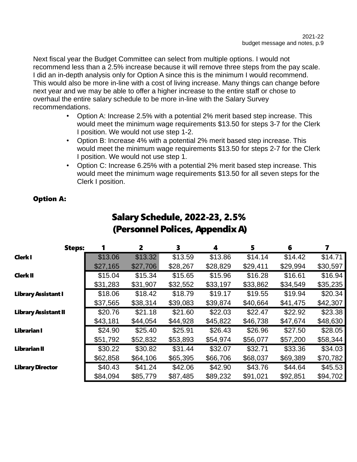Next fiscal year the Budget Committee can select from multiple options. I would not recommend less than a 2.5% increase because it will remove three steps from the pay scale. I did an in-depth analysis only for Option A since this is the minimum I would recommend. This would also be more in-line with a cost of living increase. Many things can change before next year and we may be able to offer a higher increase to the entire staff or chose to overhaul the entire salary schedule to be more in-line with the Salary Survey recommendations.

- Option A: Increase 2.5% with a potential 2% merit based step increase. This would meet the minimum wage requirements \$13.50 for steps 3-7 for the Clerk I position. We would not use step 1-2.
- Option B: Increase 4% with a potential 2% merit based step increase. This would meet the minimum wage requirements \$13.50 for steps 2-7 for the Clerk I position. We would not use step 1.
- Option C: Increase 6.25% with a potential 2% merit based step increase. This would meet the minimum wage requirements \$13.50 for all seven steps for the Clerk I position.

#### Option A:

| <b>Steps:</b>               |          | $\overline{2}$ | 3        | 4        | 5        | 6        | 7        |
|-----------------------------|----------|----------------|----------|----------|----------|----------|----------|
| Clerk I                     | \$13.06  | \$13.32        | \$13.59  | \$13.86  | \$14.14  | \$14.42  | \$14.71  |
|                             | \$27,165 | \$27,706       | \$28,267 | \$28,829 | \$29,411 | \$29,994 | \$30,597 |
| <b>Clerk II</b>             | \$15.04  | \$15.34        | \$15.65  | \$15.96  | \$16.28  | \$16.61  | \$16.94  |
|                             | \$31,283 | \$31,907       | \$32,552 | \$33,197 | \$33,862 | \$34,549 | \$35,235 |
| <b>Library Assistant I</b>  | \$18.06  | \$18.42        | \$18.79  | \$19.17  | \$19.55  | \$19.94  | \$20.34  |
|                             | \$37,565 | \$38,314       | \$39,083 | \$39,874 | \$40,664 | \$41,475 | \$42,307 |
| <b>Library Assistant II</b> | \$20.76  | \$21.18        | \$21.60  | \$22.03  | \$22.47  | \$22.92  | \$23.38  |
|                             | \$43,181 | \$44,054       | \$44,928 | \$45,822 | \$46,738 | \$47,674 | \$48,630 |
| Librarian I                 | \$24.90  | \$25.40        | \$25.91  | \$26.43  | \$26.96  | \$27.50  | \$28.05  |
|                             | \$51,792 | \$52,832       | \$53,893 | \$54,974 | \$56,077 | \$57,200 | \$58,344 |
| <b>Librarian II</b>         | \$30.22  | \$30.82        | \$31.44  | \$32.07  | \$32.71  | \$33.36  | \$34.03  |
|                             | \$62,858 | \$64,106       | \$65,395 | \$66,706 | \$68,037 | \$69,389 | \$70,782 |
| <b>Library Director</b>     | \$40.43  | \$41.24        | \$42.06  | \$42.90  | \$43.76  | \$44.64  | \$45.53  |
|                             | \$84,094 | \$85,779       | \$87,485 | \$89,232 | \$91,021 | \$92,851 | \$94,702 |

## Salary Schedule, 2022-23, 2.5% (Personnel Polices, Appendix A)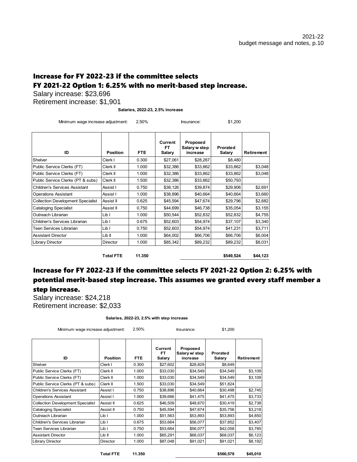#### Increase for FY 2022-23 if the committee selects FY 2021-22 Option 1: 6.25% with no merit-based step increase.

Salary increase: \$23,696

Retirement increase: \$1,901

**Salaries, 2022-23, 2.5% increase**

Minimum wage increase adjustment: 2.50% Insurance: \$1,200

| ID                                       | <b>Position</b> | <b>FTE</b> | Current<br>FT<br>Salary | Proposed<br>Salary w step<br>increase | Prorated<br>Salary | Retirement |
|------------------------------------------|-----------------|------------|-------------------------|---------------------------------------|--------------------|------------|
| Shelver                                  | Clerk I         | 0.300      | \$27,061                | \$28,267                              | \$8,480            |            |
| Public Service Clerks (FT)               | Clerk II        | 1.000      | \$32,386                | \$33,862                              | \$33,862           | \$3,048    |
| Public Service Clerks (FT)               | Clerk II        | 1.000      | \$32,386                | \$33,862                              | \$33,862           | \$3,048    |
| Public Service Clerks (PT & subs)        | Clerk II        | 1.500      | \$32,386                | \$33,862                              | \$50,793           |            |
| <b>Children's Services Assistant</b>     | Assist I        | 0.750      | \$38,126                | \$39,874                              | \$29,906           | \$2,691    |
| <b>Operations Assistant</b>              | Assist I        | 1.000      | \$38,896                | \$40.664                              | \$40.664           | \$3,660    |
| <b>Collection Development Specialist</b> | Assist II       | 0.625      | \$45,594                | \$47,674                              | \$29,796           | \$2,682    |
| <b>Cataloging Specialist</b>             | Assist II       | 0.750      | \$44,699                | \$46,738                              | \$35,054           | \$3,155    |
| Outreach Librarian                       | Lib I           | 1.000      | \$50,544                | \$52,832                              | \$52,832           | \$4,755    |
| Children's Services Librarian            | Lib I           | 0.675      | \$52,603                | \$54,974                              | \$37,107           | \$3,340    |
| Teen Services Librarian                  | Lib I           | 0.750      | \$52,603                | \$54,974                              | \$41,231           | \$3,711    |
| <b>Assistant Director</b>                | Lib II          | 1.000      | \$64,002                | \$66,706                              | \$66,706           | \$6,004    |
| Library Director                         | <b>Director</b> | 1.000      | \$85,342                | \$89,232                              | \$89,232           | \$8,031    |

**Total FTE 11.350 \$549,524 \$44,123**

#### Increase for FY 2022-23 if the committee selects FY 2021-22 Option 2: 6.25% with potential merit-based step increase. This assumes we granted every staff member a step increase.

Salary increase: \$24,218 Retirement increase: \$2,033

**Salaries, 2022-23, 2.5% with step increase**

| Minimum wage increase adjustment: | 2.50% | Insurance: | \$1,200 |
|-----------------------------------|-------|------------|---------|
|-----------------------------------|-------|------------|---------|

| ID                                       | Position        | FTE.  | Current<br>FT<br>Salary | Proposed<br>Salary w/ step<br>increase | Prorated<br>Salary | Retirement |
|------------------------------------------|-----------------|-------|-------------------------|----------------------------------------|--------------------|------------|
| Shelver                                  | Clerk I         | 0.300 | \$27,602                | \$28,829                               | \$8,649            |            |
| Public Service Clerks (FT)               | Clerk II        | 1.000 | \$33,030                | \$34,549                               | \$34,549           | \$3,109    |
| Public Service Clerks (FT)               | Clerk II        | 1.000 | \$33,030                | \$34,549                               | \$34,549           | \$3,109    |
| Public Service Clerks (PT & subs)        | Clerk II        | 1.500 | \$33,030                | \$34,549                               | \$51,824           |            |
| <b>Children's Services Assistant</b>     | Assist I        | 0.750 | \$38,896                | \$40.664                               | \$30,498           | \$2,745    |
| <b>Operations Assistant</b>              | Assist I        | 1.000 | \$39,666                | \$41,475                               | \$41,475           | \$3,733    |
| <b>Collection Development Specialist</b> | Assist II       | 0.625 | \$46,509                | \$48,670                               | \$30,419           | \$2,738    |
| <b>Cataloging Specialist</b>             | Assist II       | 0.750 | \$45,594                | \$47,674                               | \$35,756           | \$3,218    |
| Outreach Librarian                       | Lib I           | 1.000 | \$51,563                | \$53,893                               | \$53,893           | \$4,850    |
| Children's Services Librarian            | Lib I           | 0.675 | \$53,664                | \$56,077                               | \$37,852           | \$3,407    |
| Teen Services Librarian                  | Lib I           | 0.750 | \$53,664                | \$56,077                               | \$42,058           | \$3,785    |
| <b>Assistant Director</b>                | Lib II          | 1.000 | \$65,291                | \$68,037                               | \$68,037           | \$6,123    |
| <b>Library Director</b>                  | <b>Director</b> | 1.000 | \$87,048                | \$91.021                               | \$91,021           | \$8,192    |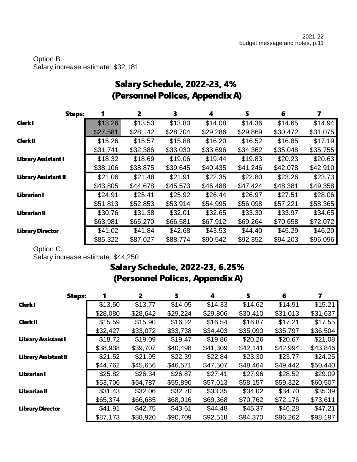#### Option B: Salary increase estimate: \$32,181

| (Personnel Polices, Appendix A) |          |          |          |          |          |          |          |  |  |
|---------------------------------|----------|----------|----------|----------|----------|----------|----------|--|--|
| <b>Steps:</b>                   | 1        | 2        | 3        | 4        | 5        | 6        | 7        |  |  |
| <b>Clerk I</b>                  | \$13.26  | \$13.53  | \$13.80  | \$14.08  | \$14.36  | \$14.65  | \$14.94  |  |  |
|                                 | \$27,581 | \$28,142 | \$28,704 | \$29,286 | \$29,869 | \$30,472 | \$31,075 |  |  |
| <b>Clerk II</b>                 | \$15.26  | \$15.57  | \$15.88  | \$16.20  | \$16.52  | \$16.85  | \$17.19  |  |  |
|                                 | \$31,741 | \$32,386 | \$33,030 | \$33,696 | \$34,362 | \$35,048 | \$35,755 |  |  |
| <b>Library Assistant I</b>      | \$18.32  | \$18.69  | \$19.06  | \$19.44  | \$19.83  | \$20.23  | \$20.63  |  |  |
|                                 | \$38,106 | \$38,875 | \$39,645 | \$40,435 | \$41,246 | \$42,078 | \$42,910 |  |  |
| <b>Library Assistant II</b>     | \$21.06  | \$21.48  | \$21.91  | \$22.35  | \$22.80  | \$23.26  | \$23.73  |  |  |
|                                 | \$43,805 | \$44,678 | \$45,573 | \$46,488 | \$47,424 | \$48,381 | \$49,358 |  |  |
| <b>Librarian I</b>              | \$24.91  | \$25.41  | \$25.92  | \$26.44  | \$26.97  | \$27.51  | \$28.06  |  |  |
|                                 | \$51,813 | \$52,853 | \$53,914 | \$54,995 | \$56,098 | \$57,221 | \$58,365 |  |  |
| <b>Librarian II</b>             | \$30.76  | \$31.38  | \$32.01  | \$32.65  | \$33.30  | \$33.97  | \$34.65  |  |  |
|                                 | \$63,981 | \$65,270 | \$66,581 | \$67,912 | \$69,264 | \$70,658 | \$72,072 |  |  |
| <b>Library Director</b>         | \$41.02  | \$41.84  | \$42.68  | \$43.53  | \$44.40  | \$45.29  | \$46.20  |  |  |
|                                 | \$85,322 | \$87,027 | \$88,774 | \$90,542 | \$92,352 | \$94,203 | \$96,096 |  |  |

## Salary Schedule, 2022-23, 4% (Personnel Polices, Appendix A)

Option C:

Salary increase estimate: \$44,250

## Salary Schedule, 2022-23, 6.25% (Personnel Polices, Appendix A)

| <b>Steps:</b>               |          | $\overline{2}$ | 3        | 4        | 5        | 6        | 7        |
|-----------------------------|----------|----------------|----------|----------|----------|----------|----------|
| <b>Clerk I</b>              | \$13.50  | \$13.77        | \$14.05  | \$14.33  | \$14.62  | \$14.91  | \$15.21  |
|                             | \$28,080 | \$28,642       | \$29,224 | \$29,806 | \$30,410 | \$31,013 | \$31,637 |
| <b>Clerk II</b>             | \$15.59  | \$15.90        | \$16.22  | \$16.54  | \$16.87  | \$17.21  | \$17.55  |
|                             | \$32,427 | \$33,072       | \$33,738 | \$34,403 | \$35,090 | \$35,797 | \$36,504 |
| <b>Library Assistant I</b>  | \$18.72  | \$19.09        | \$19.47  | \$19.86  | \$20.26  | \$20.67  | \$21.08  |
|                             | \$38,938 | \$39,707       | \$40,498 | \$41,309 | \$42,141 | \$42,994 | \$43,846 |
| <b>Library Assistant II</b> | \$21.52  | \$21.95        | \$22.39  | \$22.84  | \$23.30  | \$23.77  | \$24.25  |
|                             | \$44,762 | \$45,656       | \$46,571 | \$47,507 | \$48,464 | \$49,442 | \$50,440 |
| Librarian I                 | \$25.82  | \$26.34        | \$26.87  | \$27.41  | \$27.96  | \$28.52  | \$29.09  |
|                             | \$53,706 | \$54,787       | \$55,890 | \$57,013 | \$58,157 | \$59,322 | \$60,507 |
| Librarian II                | \$31.43  | \$32.06        | \$32.70  | \$33.35  | \$34.02  | \$34.70  | \$35.39  |
|                             | \$65,374 | \$66,685       | \$68,016 | \$69,368 | \$70,762 | \$72,176 | \$73,611 |
| <b>Library Director</b>     | \$41.91  | \$42.75        | \$43.61  | \$44.48  | \$45.37  | \$46.28  | \$47.21  |
|                             | \$87,173 | \$88,920       | \$90,709 | \$92,518 | \$94,370 | \$96,262 | \$98,197 |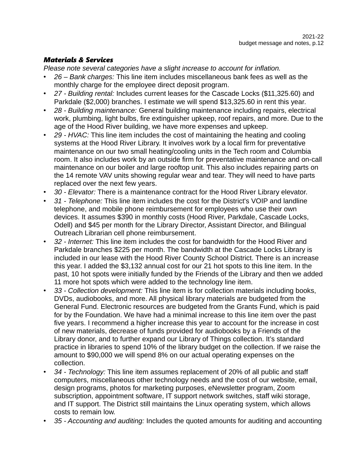#### *Materials & Services*

*Please note several categories have a slight increase to account for inflation.*

- *26 Bank charges:* This line item includes miscellaneous bank fees as well as the monthly charge for the employee direct deposit program.
- *27 Building rental:* Includes current leases for the Cascade Locks (\$11,325.60) and Parkdale (\$2,000) branches. I estimate we will spend \$13,325.60 in rent this year.
- *28 Building maintenance:* General building maintenance including repairs, electrical work, plumbing, light bulbs, fire extinguisher upkeep, roof repairs, and more. Due to the age of the Hood River building, we have more expenses and upkeep.
- *29 HVAC:* This line item includes the cost of maintaining the heating and cooling systems at the Hood River Library. It involves work by a local firm for preventative maintenance on our two small heating/cooling units in the Tech room and Columbia room. It also includes work by an outside firm for preventative maintenance and on-call maintenance on our boiler and large rooftop unit. This also includes repairing parts on the 14 remote VAV units showing regular wear and tear. They will need to have parts replaced over the next few years.
- *30 Elevator:* There is a maintenance contract for the Hood River Library elevator.
- *31 Telephone:* This line item includes the cost for the District's VOIP and landline telephone, and mobile phone reimbursement for employees who use their own devices. It assumes \$390 in monthly costs (Hood River, Parkdale, Cascade Locks, Odell) and \$45 per month for the Library Director, Assistant Director, and Bilingual Outreach Librarian cell phone reimbursement.
- *32 Internet:* This line item includes the cost for bandwidth for the Hood River and Parkdale branches \$225 per month. The bandwidth at the Cascade Locks Library is included in our lease with the Hood River County School District. There is an increase this year. I added the \$3,132 annual cost for our 21 hot spots to this line item. In the past, 10 hot spots were initially funded by the Friends of the Library and then we added 11 more hot spots which were added to the technology line item.
- *33 Collection development:* This line item is for collection materials including books, DVDs, audiobooks, and more. All physical library materials are budgeted from the General Fund. Electronic resources are budgeted from the Grants Fund, which is paid for by the Foundation. We have had a minimal increase to this line item over the past five years. I recommend a higher increase this year to account for the increase in cost of new materials, decrease of funds provided for audiobooks by a Friends of the Library donor, and to further expand our Library of Things collection. It's standard practice in libraries to spend 10% of the library budget on the collection. If we raise the amount to \$90,000 we will spend 8% on our actual operating expenses on the collection.
- *34 Technology:* This line item assumes replacement of 20% of all public and staff computers, miscellaneous other technology needs and the cost of our website, email, design programs, photos for marketing purposes, eNewsletter program, Zoom subscription, appointment software, IT support network switches, staff wiki storage, and IT support. The District still maintains the Linux operating system, which allows costs to remain low.
- *35 Accounting and auditing:* Includes the quoted amounts for auditing and accounting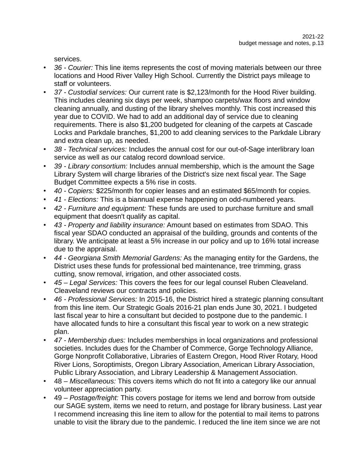services.

- *36 Courier:* This line items represents the cost of moving materials between our three locations and Hood River Valley High School. Currently the District pays mileage to staff or volunteers.
- *37 Custodial services:* Our current rate is \$2,123/month for the Hood River building. This includes cleaning six days per week, shampoo carpets/wax floors and window cleaning annually, and dusting of the library shelves monthly. This cost increased this year due to COVID. We had to add an additional day of service due to cleaning requirements. There is also \$1,200 budgeted for cleaning of the carpets at Cascade Locks and Parkdale branches, \$1,200 to add cleaning services to the Parkdale Library and extra clean up, as needed.
- *38 Technical services:* Includes the annual cost for our out-of-Sage interlibrary loan service as well as our catalog record download service.
- *39 Library consortium:* Includes annual membership, which is the amount the Sage Library System will charge libraries of the District's size next fiscal year. The Sage Budget Committee expects a 5% rise in costs.
- *40 Copiers:* \$225/month for copier leases and an estimated \$65/month for copies.
- *41 Elections:* This is a biannual expense happening on odd-numbered years.
- *42 Furniture and equipment:* These funds are used to purchase furniture and small equipment that doesn't qualify as capital.
- *43 Property and liability insurance:* Amount based on estimates from SDAO. This fiscal year SDAO conducted an appraisal of the building, grounds and contents of the library. We anticipate at least a 5% increase in our policy and up to 16% total increase due to the appraisal.
- *44 Georgiana Smith Memorial Gardens:* As the managing entity for the Gardens, the District uses these funds for professional bed maintenance, tree trimming, grass cutting, snow removal, irrigation, and other associated costs.
- *45 Legal Services:* This covers the fees for our legal counsel Ruben Cleaveland. Cleaveland reviews our contracts and policies.
- *46 Professional Services:* In 2015-16, the District hired a strategic planning consultant from this line item. Our Strategic Goals 2016-21 plan ends June 30, 2021. I budgeted last fiscal year to hire a consultant but decided to postpone due to the pandemic. I have allocated funds to hire a consultant this fiscal year to work on a new strategic plan.
- *47 Membership dues:* Includes memberships in local organizations and professional societies. Includes dues for the Chamber of Commerce, Gorge Technology Alliance, Gorge Nonprofit Collaborative, Libraries of Eastern Oregon, Hood River Rotary, Hood River Lions, Soroptimists, Oregon Library Association, American Library Association, Public Library Association, and Library Leadership & Management Association.
- 48 *Miscellaneous:* This covers items which do not fit into a category like our annual volunteer appreciation party.
- 49 *Postage/freight:* This covers postage for items we lend and borrow from outside our SAGE system, items we need to return, and postage for library business. Last year I recommend increasing this line item to allow for the potential to mail items to patrons unable to visit the library due to the pandemic. I reduced the line item since we are not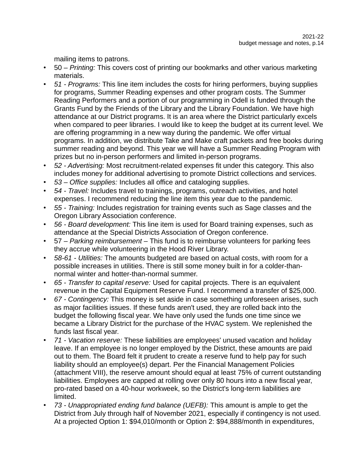mailing items to patrons.

- 50 *Printing:* This covers cost of printing our bookmarks and other various marketing materials.
- *51 Programs:* This line item includes the costs for hiring performers, buying supplies for programs, Summer Reading expenses and other program costs. The Summer Reading Performers and a portion of our programming in Odell is funded through the Grants Fund by the Friends of the Library and the Library Foundation. We have high attendance at our District programs. It is an area where the District particularly excels when compared to peer libraries. I would like to keep the budget at its current level. We are offering programming in a new way during the pandemic. We offer virtual programs. In addition, we distribute Take and Make craft packets and free books during summer reading and beyond. This year we will have a Summer Reading Program with prizes but no in-person performers and limited in-person programs.
- *52 Advertising:* Most recruitment-related expenses fit under this category. This also includes money for additional advertising to promote District collections and services.
- *53 Office supplies:* Includes all office and cataloging supplies.
- *54 Travel:* Includes travel to trainings, programs, outreach activities, and hotel expenses. I recommend reducing the line item this year due to the pandemic.
- *55 Training:* Includes registration for training events such as Sage classes and the Oregon Library Association conference.
- *56 Board development:* This line item is used for Board training expenses, such as attendance at the Special Districts Association of Oregon conference.
- 57 *Parking reimbursement* This fund is to reimburse volunteers for parking fees they accrue while volunteering in the Hood River Library.
- *58-61 Utilities:* The amounts budgeted are based on actual costs, with room for a possible increases in utilities. There is still some money built in for a colder-thannormal winter and hotter-than-normal summer.
- *65 Transfer to capital reserve:* Used for capital projects. There is an equivalent revenue in the Capital Equipment Reserve Fund. I recommend a transfer of \$25,000.
- *67 Contingency:* This money is set aside in case something unforeseen arises, such as major facilities issues. If these funds aren't used, they are rolled back into the budget the following fiscal year. We have only used the funds one time since we became a Library District for the purchase of the HVAC system. We replenished the funds last fiscal year.
- *71 Vacation reserve:* These liabilities are employees' unused vacation and holiday leave. If an employee is no longer employed by the District, these amounts are paid out to them. The Board felt it prudent to create a reserve fund to help pay for such liability should an employee(s) depart. Per the Financial Management Policies (attachment VIII), the reserve amount should equal at least 75% of current outstanding liabilities. Employees are capped at rolling over only 80 hours into a new fiscal year, pro-rated based on a 40-hour workweek, so the District's long-term liabilities are limited.
- *73 Unappropriated ending fund balance (UEFB):* This amount is ample to get the District from July through half of November 2021, especially if contingency is not used. At a projected Option 1: \$94,010/month or Option 2: \$94,888/month in expenditures,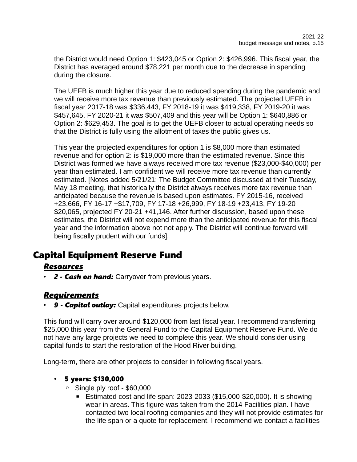the District would need Option 1: \$423,045 or Option 2: \$426,996. This fiscal year, the District has averaged around \$78,221 per month due to the decrease in spending during the closure.

The UEFB is much higher this year due to reduced spending during the pandemic and we will receive more tax revenue than previously estimated. The projected UEFB in fiscal year 2017-18 was \$336,443, FY 2018-19 it was \$419,338, FY 2019-20 it was \$457,645, FY 2020-21 it was \$507,409 and this year will be Option 1: \$640,886 or Option 2: \$629,453. The goal is to get the UEFB closer to actual operating needs so that the District is fully using the allotment of taxes the public gives us.

This year the projected expenditures for option 1 is \$8,000 more than estimated revenue and for option 2: is \$19,000 more than the estimated revenue. Since this District was formed we have always received more tax revenue (\$23,000-\$40,000) per year than estimated. I am confident we will receive more tax revenue than currently estimated. [Notes added 5/21/21: The Budget Committee discussed at their Tuesday, May 18 meeting, that historically the District always receives more tax revenue than anticipated because the revenue is based upon estimates. FY 2015-16, received +23,666, FY 16-17 +\$17,709, FY 17-18 +26,999, FY 18-19 +23,413, FY 19-20 \$20,065, projected FY 20-21 +41,146. After further discussion, based upon these estimates, the District will not expend more than the anticipated revenue for this fiscal year and the information above not not apply. The District will continue forward will being fiscally prudent with our funds].

## Capital Equipment Reserve Fund

### *Resources*

• *2 - Cash on hand:* Carryover from previous years.

### *Requirements*

• *9 - Capital outlay:* Capital expenditures projects below.

This fund will carry over around \$120,000 from last fiscal year. I recommend transferring \$25,000 this year from the General Fund to the Capital Equipment Reserve Fund. We do not have any large projects we need to complete this year. We should consider using capital funds to start the restoration of the Hood River building.

Long-term, there are other projects to consider in following fiscal years.

#### • 5 years: \$130,000

- Single ply roof \$60,000
	- **Estimated cost and life span: 2023-2033 (\$15,000-\$20,000). It is showing** wear in areas. This figure was taken from the 2014 Facilities plan. I have contacted two local roofing companies and they will not provide estimates for the life span or a quote for replacement. I recommend we contact a facilities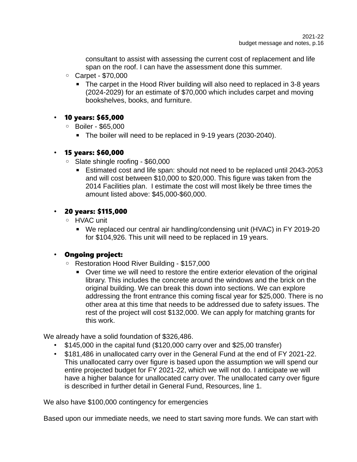consultant to assist with assessing the current cost of replacement and life span on the roof. I can have the assessment done this summer.

- Carpet \$70,000
	- The carpet in the Hood River building will also need to replaced in 3-8 years (2024-2029) for an estimate of \$70,000 which includes carpet and moving bookshelves, books, and furniture.

#### • 10 years: \$65,000

- Boiler \$65,000
	- **The boiler will need to be replaced in 9-19 years (2030-2040).**

#### • 15 years: \$60,000

- Slate shingle roofing \$60,000
	- Estimated cost and life span: should not need to be replaced until 2043-2053 and will cost between \$10,000 to \$20,000. This figure was taken from the 2014 Facilities plan. I estimate the cost will most likely be three times the amount listed above: \$45,000-\$60,000.

#### • 20 years: \$115,000

- HVAC unit
	- We replaced our central air handling/condensing unit (HVAC) in FY 2019-20 for \$104,926. This unit will need to be replaced in 19 years.

### • Ongoing project:

- Restoration Hood River Building \$157,000
	- Over time we will need to restore the entire exterior elevation of the original library. This includes the concrete around the windows and the brick on the original building. We can break this down into sections. We can explore addressing the front entrance this coming fiscal year for \$25,000. There is no other area at this time that needs to be addressed due to safety issues. The rest of the project will cost \$132,000. We can apply for matching grants for this work.

We already have a solid foundation of \$326,486.

- \$145,000 in the capital fund (\$120,000 carry over and \$25,00 transfer)
- \$181,486 in unallocated carry over in the General Fund at the end of FY 2021-22. This unallocated carry over figure is based upon the assumption we will spend our entire projected budget for FY 2021-22, which we will not do. I anticipate we will have a higher balance for unallocated carry over. The unallocated carry over figure is described in further detail in General Fund, Resources, line 1.

We also have \$100,000 contingency for emergencies

Based upon our immediate needs, we need to start saving more funds. We can start with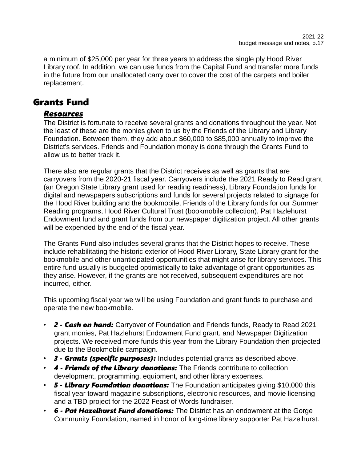a minimum of \$25,000 per year for three years to address the single ply Hood River Library roof. In addition, we can use funds from the Capital Fund and transfer more funds in the future from our unallocated carry over to cover the cost of the carpets and boiler replacement.

### Grants Fund

### *Resources*

The District is fortunate to receive several grants and donations throughout the year. Not the least of these are the monies given to us by the Friends of the Library and Library Foundation. Between them, they add about \$60,000 to \$85,000 annually to improve the District's services. Friends and Foundation money is done through the Grants Fund to allow us to better track it.

There also are regular grants that the District receives as well as grants that are carryovers from the 2020-21 fiscal year. Carryovers include the 2021 Ready to Read grant (an Oregon State Library grant used for reading readiness), Library Foundation funds for digital and newspapers subscriptions and funds for several projects related to signage for the Hood River building and the bookmobile, Friends of the Library funds for our Summer Reading programs, Hood River Cultural Trust (bookmobile collection), Pat Hazlehurst Endowment fund and grant funds from our newspaper digitization project. All other grants will be expended by the end of the fiscal year.

The Grants Fund also includes several grants that the District hopes to receive. These include rehabilitating the historic exterior of Hood River Library, State Library grant for the bookmobile and other unanticipated opportunities that might arise for library services. This entire fund usually is budgeted optimistically to take advantage of grant opportunities as they arise. However, if the grants are not received, subsequent expenditures are not incurred, either.

This upcoming fiscal year we will be using Foundation and grant funds to purchase and operate the new bookmobile.

- *2 Cash on hand:* Carryover of Foundation and Friends funds, Ready to Read 2021 grant monies, Pat Hazlehurst Endowment Fund grant, and Newspaper Digitization projects. We received more funds this year from the Library Foundation then projected due to the Bookmobile campaign.
- *3 Grants (specific purposes):* Includes potential grants as described above.
- *4 Friends of the Library donations:* The Friends contribute to collection development, programming, equipment, and other library expenses.
- *5 Library Foundation donations:* The Foundation anticipates giving \$10,000 this fiscal year toward magazine subscriptions, electronic resources, and movie licensing and a TBD project for the 2022 Feast of Words fundraiser.
- *6 Pat Hazelhurst Fund donations:* The District has an endowment at the Gorge Community Foundation, named in honor of long-time library supporter Pat Hazelhurst.